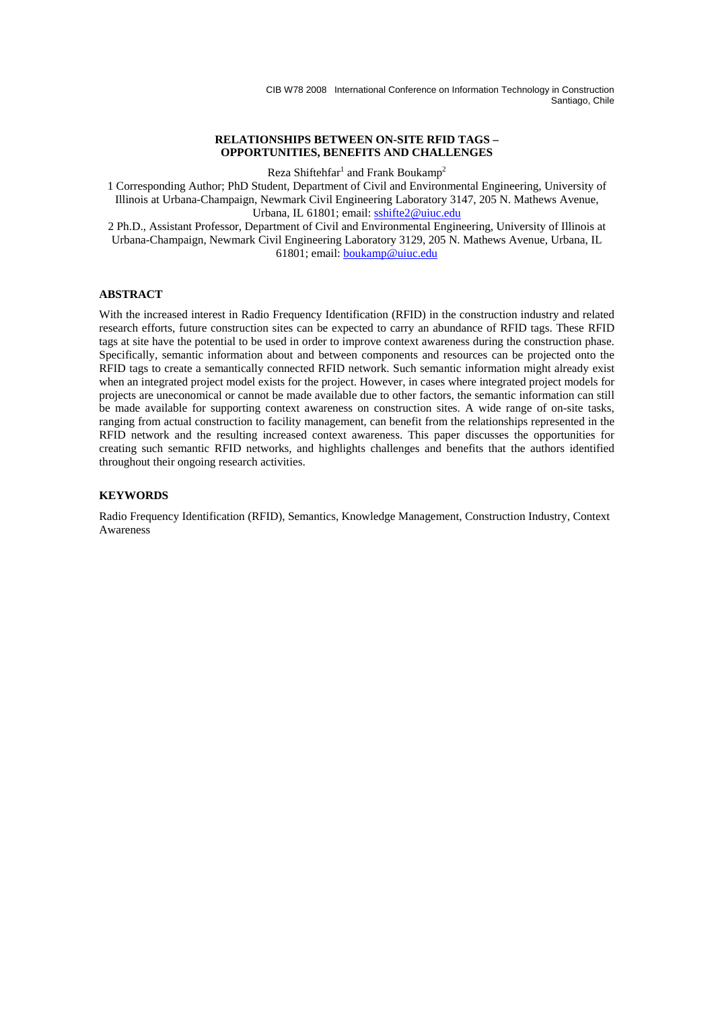#### **RELATIONSHIPS BETWEEN ON-SITE RFID TAGS – OPPORTUNITIES, BENEFITS AND CHALLENGES**

Reza Shiftehfar<sup>1</sup> and Frank Boukamp<sup>2</sup>

1 Corresponding Author; PhD Student, Department of Civil and Environmental Engineering, University of Illinois at Urbana-Champaign, Newmark Civil Engineering Laboratory 3147, 205 N. Mathews Avenue, Urbana, IL 61801; email: sshifte2@uiuc.edu

2 Ph.D., Assistant Professor, Department of Civil and Environmental Engineering, University of Illinois at Urbana-Champaign, Newmark Civil Engineering Laboratory 3129, 205 N. Mathews Avenue, Urbana, IL 61801; email: boukamp@uiuc.edu

# **ABSTRACT**

With the increased interest in Radio Frequency Identification (RFID) in the construction industry and related research efforts, future construction sites can be expected to carry an abundance of RFID tags. These RFID tags at site have the potential to be used in order to improve context awareness during the construction phase. Specifically, semantic information about and between components and resources can be projected onto the RFID tags to create a semantically connected RFID network. Such semantic information might already exist when an integrated project model exists for the project. However, in cases where integrated project models for projects are uneconomical or cannot be made available due to other factors, the semantic information can still be made available for supporting context awareness on construction sites. A wide range of on-site tasks, ranging from actual construction to facility management, can benefit from the relationships represented in the RFID network and the resulting increased context awareness. This paper discusses the opportunities for creating such semantic RFID networks, and highlights challenges and benefits that the authors identified throughout their ongoing research activities.

### **KEYWORDS**

Radio Frequency Identification (RFID), Semantics, Knowledge Management, Construction Industry, Context Awareness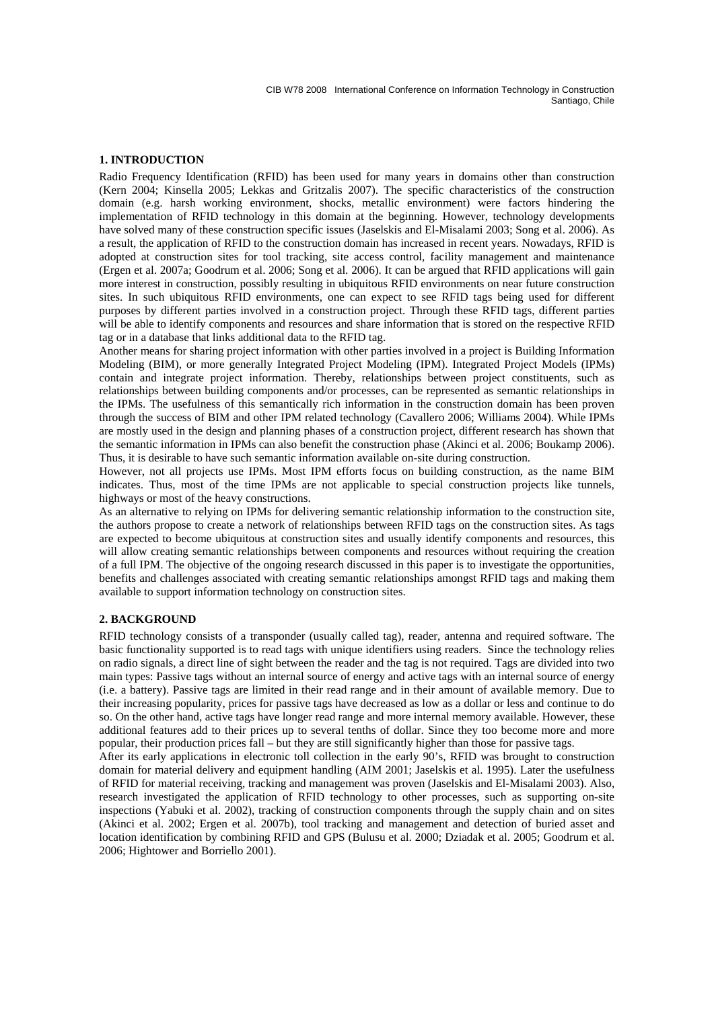### **1. INTRODUCTION**

Radio Frequency Identification (RFID) has been used for many years in domains other than construction (Kern 2004; Kinsella 2005; Lekkas and Gritzalis 2007). The specific characteristics of the construction domain (e.g. harsh working environment, shocks, metallic environment) were factors hindering the implementation of RFID technology in this domain at the beginning. However, technology developments have solved many of these construction specific issues (Jaselskis and El-Misalami 2003; Song et al. 2006). As a result, the application of RFID to the construction domain has increased in recent years. Nowadays, RFID is adopted at construction sites for tool tracking, site access control, facility management and maintenance (Ergen et al. 2007a; Goodrum et al. 2006; Song et al. 2006). It can be argued that RFID applications will gain more interest in construction, possibly resulting in ubiquitous RFID environments on near future construction sites. In such ubiquitous RFID environments, one can expect to see RFID tags being used for different purposes by different parties involved in a construction project. Through these RFID tags, different parties will be able to identify components and resources and share information that is stored on the respective RFID tag or in a database that links additional data to the RFID tag.

Another means for sharing project information with other parties involved in a project is Building Information Modeling (BIM), or more generally Integrated Project Modeling (IPM). Integrated Project Models (IPMs) contain and integrate project information. Thereby, relationships between project constituents, such as relationships between building components and/or processes, can be represented as semantic relationships in the IPMs. The usefulness of this semantically rich information in the construction domain has been proven through the success of BIM and other IPM related technology (Cavallero 2006; Williams 2004). While IPMs are mostly used in the design and planning phases of a construction project, different research has shown that the semantic information in IPMs can also benefit the construction phase (Akinci et al. 2006; Boukamp 2006). Thus, it is desirable to have such semantic information available on-site during construction.

However, not all projects use IPMs. Most IPM efforts focus on building construction, as the name BIM indicates. Thus, most of the time IPMs are not applicable to special construction projects like tunnels, highways or most of the heavy constructions.

As an alternative to relying on IPMs for delivering semantic relationship information to the construction site, the authors propose to create a network of relationships between RFID tags on the construction sites. As tags are expected to become ubiquitous at construction sites and usually identify components and resources, this will allow creating semantic relationships between components and resources without requiring the creation of a full IPM. The objective of the ongoing research discussed in this paper is to investigate the opportunities, benefits and challenges associated with creating semantic relationships amongst RFID tags and making them available to support information technology on construction sites.

### **2. BACKGROUND**

RFID technology consists of a transponder (usually called tag), reader, antenna and required software. The basic functionality supported is to read tags with unique identifiers using readers. Since the technology relies on radio signals, a direct line of sight between the reader and the tag is not required. Tags are divided into two main types: Passive tags without an internal source of energy and active tags with an internal source of energy (i.e. a battery). Passive tags are limited in their read range and in their amount of available memory. Due to their increasing popularity, prices for passive tags have decreased as low as a dollar or less and continue to do so. On the other hand, active tags have longer read range and more internal memory available. However, these additional features add to their prices up to several tenths of dollar. Since they too become more and more popular, their production prices fall – but they are still significantly higher than those for passive tags.

After its early applications in electronic toll collection in the early 90's, RFID was brought to construction domain for material delivery and equipment handling (AIM 2001; Jaselskis et al. 1995). Later the usefulness of RFID for material receiving, tracking and management was proven (Jaselskis and El-Misalami 2003). Also, research investigated the application of RFID technology to other processes, such as supporting on-site inspections (Yabuki et al. 2002), tracking of construction components through the supply chain and on sites (Akinci et al. 2002; Ergen et al. 2007b), tool tracking and management and detection of buried asset and location identification by combining RFID and GPS (Bulusu et al. 2000; Dziadak et al. 2005; Goodrum et al. 2006; Hightower and Borriello 2001).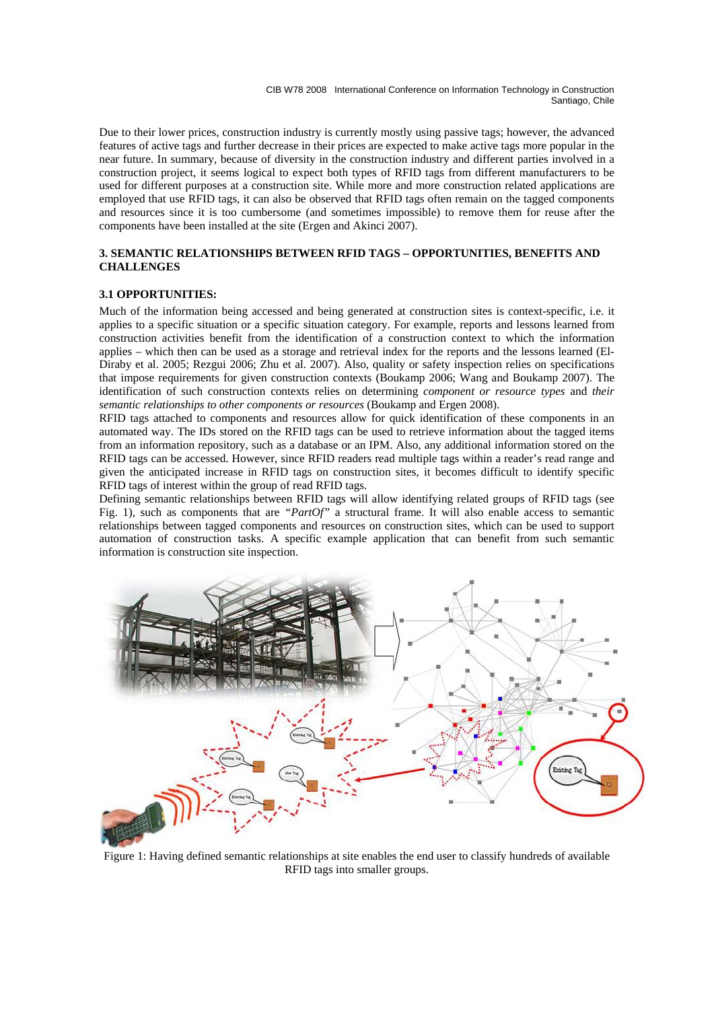Due to their lower prices, construction industry is currently mostly using passive tags; however, the advanced features of active tags and further decrease in their prices are expected to make active tags more popular in the near future. In summary, because of diversity in the construction industry and different parties involved in a construction project, it seems logical to expect both types of RFID tags from different manufacturers to be used for different purposes at a construction site. While more and more construction related applications are employed that use RFID tags, it can also be observed that RFID tags often remain on the tagged components and resources since it is too cumbersome (and sometimes impossible) to remove them for reuse after the components have been installed at the site (Ergen and Akinci 2007).

### **3. SEMANTIC RELATIONSHIPS BETWEEN RFID TAGS – OPPORTUNITIES, BENEFITS AND CHALLENGES**

## **3.1 OPPORTUNITIES:**

Much of the information being accessed and being generated at construction sites is context-specific, i.e. it applies to a specific situation or a specific situation category. For example, reports and lessons learned from construction activities benefit from the identification of a construction context to which the information applies – which then can be used as a storage and retrieval index for the reports and the lessons learned (El-Diraby et al. 2005; Rezgui 2006; Zhu et al. 2007). Also, quality or safety inspection relies on specifications that impose requirements for given construction contexts (Boukamp 2006; Wang and Boukamp 2007). The identification of such construction contexts relies on determining *component or resource types* and *their semantic relationships to other components or resources* (Boukamp and Ergen 2008).

RFID tags attached to components and resources allow for quick identification of these components in an automated way. The IDs stored on the RFID tags can be used to retrieve information about the tagged items from an information repository, such as a database or an IPM. Also, any additional information stored on the RFID tags can be accessed. However, since RFID readers read multiple tags within a reader's read range and given the anticipated increase in RFID tags on construction sites, it becomes difficult to identify specific RFID tags of interest within the group of read RFID tags.

Defining semantic relationships between RFID tags will allow identifying related groups of RFID tags (see Fig. 1), such as components that are *"PartOf"* a structural frame. It will also enable access to semantic relationships between tagged components and resources on construction sites, which can be used to support automation of construction tasks. A specific example application that can benefit from such semantic information is construction site inspection.



Figure 1: Having defined semantic relationships at site enables the end user to classify hundreds of available RFID tags into smaller groups.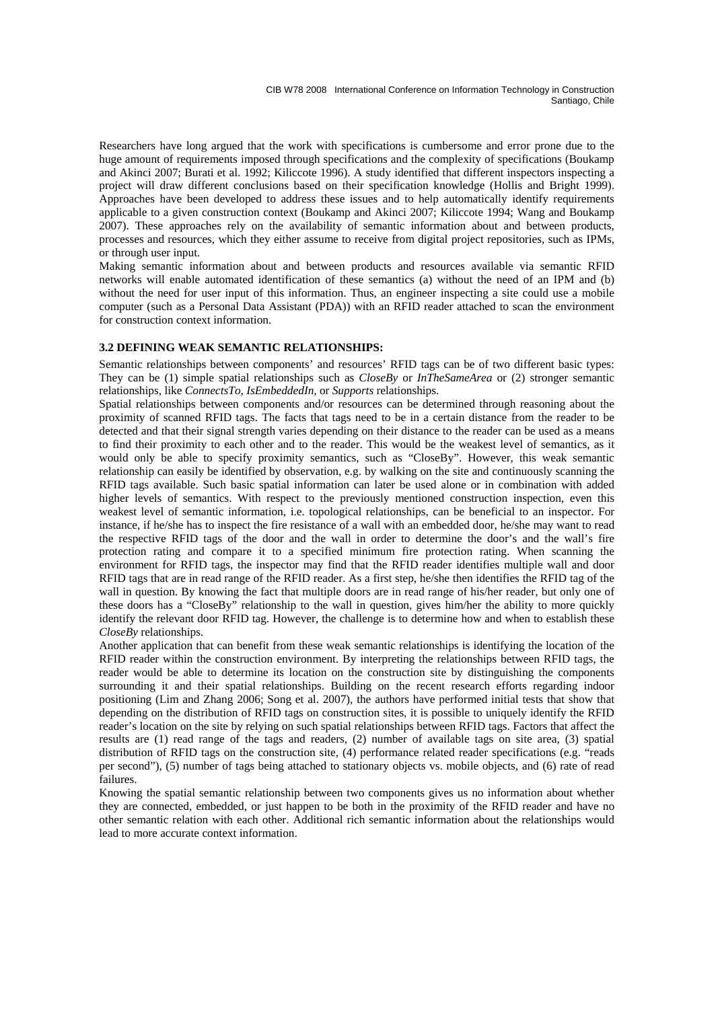Researchers have long argued that the work with specifications is cumbersome and error prone due to the huge amount of requirements imposed through specifications and the complexity of specifications (Boukamp and Akinci 2007; Burati et al. 1992; Kiliccote 1996). A study identified that different inspectors inspecting a project will draw different conclusions based on their specification knowledge (Hollis and Bright 1999). Approaches have been developed to address these issues and to help automatically identify requirements applicable to a given construction context (Boukamp and Akinci 2007; Kiliccote 1994; Wang and Boukamp 2007). These approaches rely on the availability of semantic information about and between products, processes and resources, which they either assume to receive from digital project repositories, such as IPMs, or through user input.

Making semantic information about and between products and resources available via semantic RFID networks will enable automated identification of these semantics (a) without the need of an IPM and (b) without the need for user input of this information. Thus, an engineer inspecting a site could use a mobile computer (such as a Personal Data Assistant (PDA)) with an RFID reader attached to scan the environment for construction context information.

### **3.2 DEFINING WEAK SEMANTIC RELATIONSHIPS:**

Semantic relationships between components' and resources' RFID tags can be of two different basic types: They can be (1) simple spatial relationships such as *CloseBy* or *InTheSameArea* or (2) stronger semantic relationships, like *ConnectsTo, IsEmbeddedIn,* or *Supports* relationships.

Spatial relationships between components and/or resources can be determined through reasoning about the proximity of scanned RFID tags. The facts that tags need to be in a certain distance from the reader to be detected and that their signal strength varies depending on their distance to the reader can be used as a means to find their proximity to each other and to the reader. This would be the weakest level of semantics, as it would only be able to specify proximity semantics, such as "CloseBy". However, this weak semantic relationship can easily be identified by observation, e.g. by walking on the site and continuously scanning the RFID tags available. Such basic spatial information can later be used alone or in combination with added higher levels of semantics. With respect to the previously mentioned construction inspection, even this weakest level of semantic information, i.e. topological relationships, can be beneficial to an inspector. For instance, if he/she has to inspect the fire resistance of a wall with an embedded door, he/she may want to read the respective RFID tags of the door and the wall in order to determine the door's and the wall's fire protection rating and compare it to a specified minimum fire protection rating. When scanning the environment for RFID tags, the inspector may find that the RFID reader identifies multiple wall and door RFID tags that are in read range of the RFID reader. As a first step, he/she then identifies the RFID tag of the wall in question. By knowing the fact that multiple doors are in read range of his/her reader, but only one of these doors has a "CloseBy" relationship to the wall in question, gives him/her the ability to more quickly identify the relevant door RFID tag. However, the challenge is to determine how and when to establish these *CloseBy* relationships.

Another application that can benefit from these weak semantic relationships is identifying the location of the RFID reader within the construction environment. By interpreting the relationships between RFID tags, the reader would be able to determine its location on the construction site by distinguishing the components surrounding it and their spatial relationships. Building on the recent research efforts regarding indoor positioning (Lim and Zhang 2006; Song et al. 2007), the authors have performed initial tests that show that depending on the distribution of RFID tags on construction sites, it is possible to uniquely identify the RFID reader's location on the site by relying on such spatial relationships between RFID tags. Factors that affect the results are (1) read range of the tags and readers, (2) number of available tags on site area, (3) spatial distribution of RFID tags on the construction site, (4) performance related reader specifications (e.g. "reads per second"), (5) number of tags being attached to stationary objects vs. mobile objects, and (6) rate of read failures.

Knowing the spatial semantic relationship between two components gives us no information about whether they are connected, embedded, or just happen to be both in the proximity of the RFID reader and have no other semantic relation with each other. Additional rich semantic information about the relationships would lead to more accurate context information.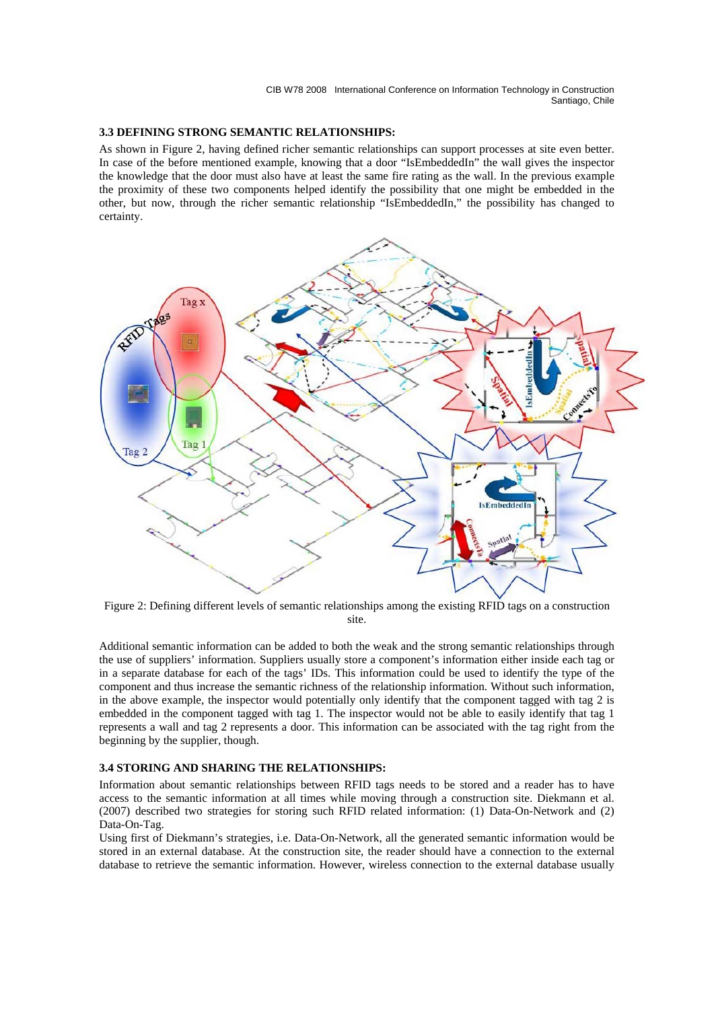#### **3.3 DEFINING STRONG SEMANTIC RELATIONSHIPS:**

As shown in Figure 2, having defined richer semantic relationships can support processes at site even better. In case of the before mentioned example, knowing that a door "IsEmbeddedIn" the wall gives the inspector the knowledge that the door must also have at least the same fire rating as the wall. In the previous example the proximity of these two components helped identify the possibility that one might be embedded in the other, but now, through the richer semantic relationship "IsEmbeddedIn," the possibility has changed to certainty.



Figure 2: Defining different levels of semantic relationships among the existing RFID tags on a construction site.

Additional semantic information can be added to both the weak and the strong semantic relationships through the use of suppliers' information. Suppliers usually store a component's information either inside each tag or in a separate database for each of the tags' IDs. This information could be used to identify the type of the component and thus increase the semantic richness of the relationship information. Without such information, in the above example, the inspector would potentially only identify that the component tagged with tag 2 is embedded in the component tagged with tag 1. The inspector would not be able to easily identify that tag 1 represents a wall and tag 2 represents a door. This information can be associated with the tag right from the beginning by the supplier, though.

#### **3.4 STORING AND SHARING THE RELATIONSHIPS:**

Information about semantic relationships between RFID tags needs to be stored and a reader has to have access to the semantic information at all times while moving through a construction site. Diekmann et al. (2007) described two strategies for storing such RFID related information: (1) Data-On-Network and (2) Data-On-Tag.

Using first of Diekmann's strategies, i.e. Data-On-Network, all the generated semantic information would be stored in an external database. At the construction site, the reader should have a connection to the external database to retrieve the semantic information. However, wireless connection to the external database usually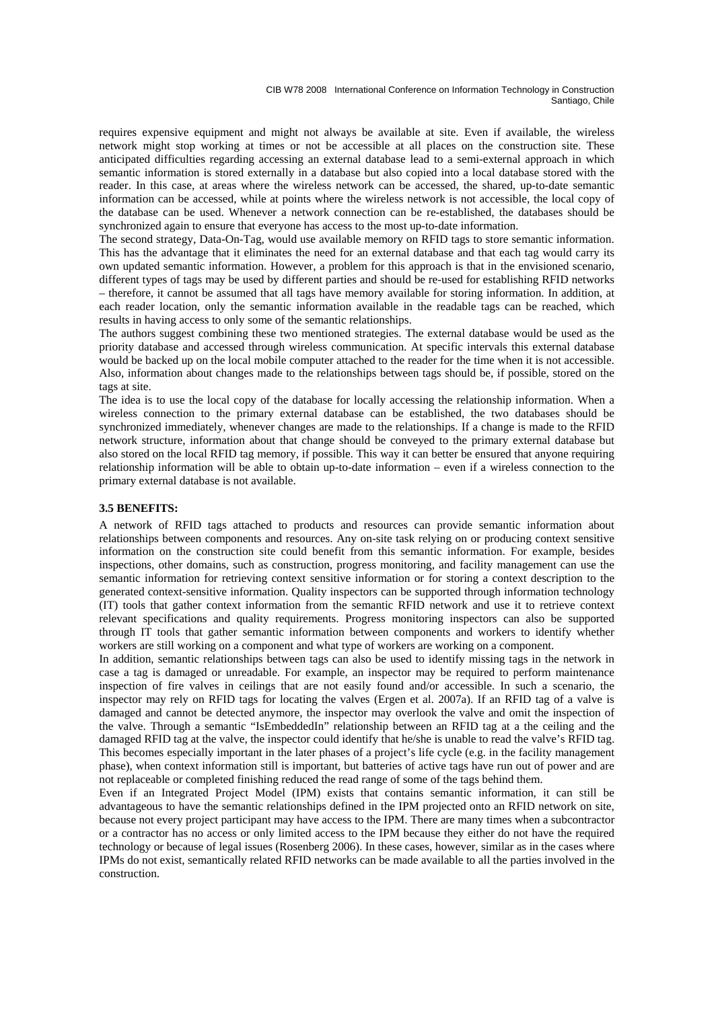requires expensive equipment and might not always be available at site. Even if available, the wireless network might stop working at times or not be accessible at all places on the construction site. These anticipated difficulties regarding accessing an external database lead to a semi-external approach in which semantic information is stored externally in a database but also copied into a local database stored with the reader. In this case, at areas where the wireless network can be accessed, the shared, up-to-date semantic information can be accessed, while at points where the wireless network is not accessible, the local copy of the database can be used. Whenever a network connection can be re-established, the databases should be synchronized again to ensure that everyone has access to the most up-to-date information.

The second strategy, Data-On-Tag, would use available memory on RFID tags to store semantic information. This has the advantage that it eliminates the need for an external database and that each tag would carry its own updated semantic information. However, a problem for this approach is that in the envisioned scenario, different types of tags may be used by different parties and should be re-used for establishing RFID networks – therefore, it cannot be assumed that all tags have memory available for storing information. In addition, at each reader location, only the semantic information available in the readable tags can be reached, which results in having access to only some of the semantic relationships.

The authors suggest combining these two mentioned strategies. The external database would be used as the priority database and accessed through wireless communication. At specific intervals this external database would be backed up on the local mobile computer attached to the reader for the time when it is not accessible. Also, information about changes made to the relationships between tags should be, if possible, stored on the tags at site.

The idea is to use the local copy of the database for locally accessing the relationship information. When a wireless connection to the primary external database can be established, the two databases should be synchronized immediately, whenever changes are made to the relationships. If a change is made to the RFID network structure, information about that change should be conveyed to the primary external database but also stored on the local RFID tag memory, if possible. This way it can better be ensured that anyone requiring relationship information will be able to obtain up-to-date information – even if a wireless connection to the primary external database is not available.

### **3.5 BENEFITS:**

A network of RFID tags attached to products and resources can provide semantic information about relationships between components and resources. Any on-site task relying on or producing context sensitive information on the construction site could benefit from this semantic information. For example, besides inspections, other domains, such as construction, progress monitoring, and facility management can use the semantic information for retrieving context sensitive information or for storing a context description to the generated context-sensitive information. Quality inspectors can be supported through information technology (IT) tools that gather context information from the semantic RFID network and use it to retrieve context relevant specifications and quality requirements. Progress monitoring inspectors can also be supported through IT tools that gather semantic information between components and workers to identify whether workers are still working on a component and what type of workers are working on a component.

In addition, semantic relationships between tags can also be used to identify missing tags in the network in case a tag is damaged or unreadable. For example, an inspector may be required to perform maintenance inspection of fire valves in ceilings that are not easily found and/or accessible. In such a scenario, the inspector may rely on RFID tags for locating the valves (Ergen et al. 2007a). If an RFID tag of a valve is damaged and cannot be detected anymore, the inspector may overlook the valve and omit the inspection of the valve. Through a semantic "IsEmbeddedIn" relationship between an RFID tag at a the ceiling and the damaged RFID tag at the valve, the inspector could identify that he/she is unable to read the valve's RFID tag. This becomes especially important in the later phases of a project's life cycle (e.g. in the facility management phase), when context information still is important, but batteries of active tags have run out of power and are not replaceable or completed finishing reduced the read range of some of the tags behind them.

Even if an Integrated Project Model (IPM) exists that contains semantic information, it can still be advantageous to have the semantic relationships defined in the IPM projected onto an RFID network on site, because not every project participant may have access to the IPM. There are many times when a subcontractor or a contractor has no access or only limited access to the IPM because they either do not have the required technology or because of legal issues (Rosenberg 2006). In these cases, however, similar as in the cases where IPMs do not exist, semantically related RFID networks can be made available to all the parties involved in the construction.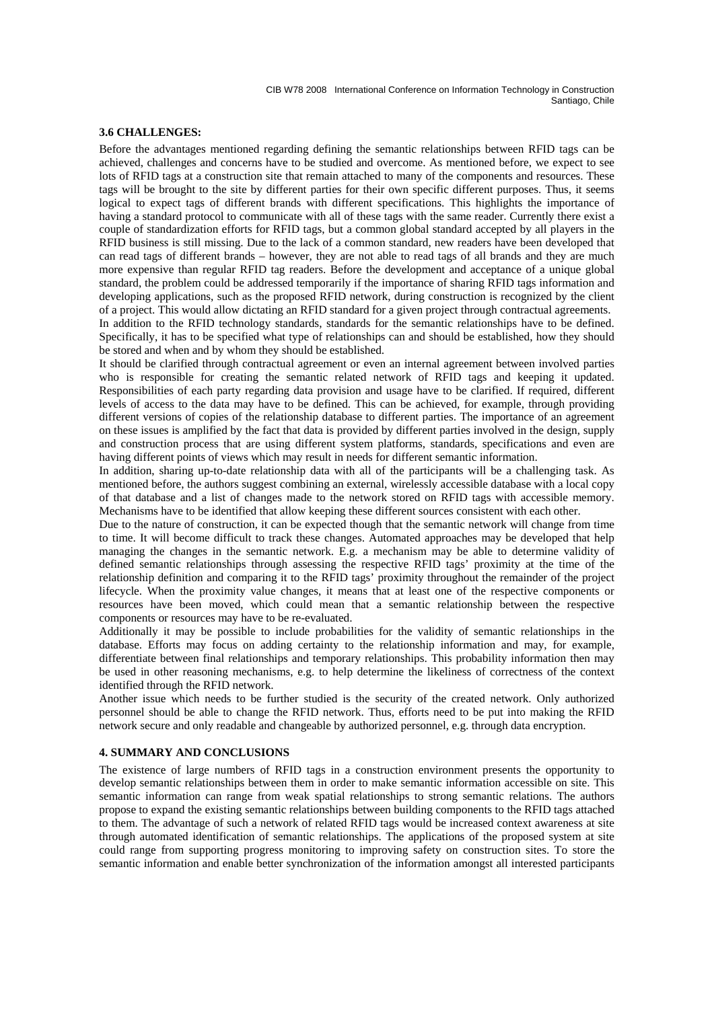#### **3.6 CHALLENGES:**

Before the advantages mentioned regarding defining the semantic relationships between RFID tags can be achieved, challenges and concerns have to be studied and overcome. As mentioned before, we expect to see lots of RFID tags at a construction site that remain attached to many of the components and resources. These tags will be brought to the site by different parties for their own specific different purposes. Thus, it seems logical to expect tags of different brands with different specifications. This highlights the importance of having a standard protocol to communicate with all of these tags with the same reader. Currently there exist a couple of standardization efforts for RFID tags, but a common global standard accepted by all players in the RFID business is still missing. Due to the lack of a common standard, new readers have been developed that can read tags of different brands – however, they are not able to read tags of all brands and they are much more expensive than regular RFID tag readers. Before the development and acceptance of a unique global standard, the problem could be addressed temporarily if the importance of sharing RFID tags information and developing applications, such as the proposed RFID network, during construction is recognized by the client of a project. This would allow dictating an RFID standard for a given project through contractual agreements. In addition to the RFID technology standards, standards for the semantic relationships have to be defined. Specifically, it has to be specified what type of relationships can and should be established, how they should be stored and when and by whom they should be established.

It should be clarified through contractual agreement or even an internal agreement between involved parties who is responsible for creating the semantic related network of RFID tags and keeping it updated. Responsibilities of each party regarding data provision and usage have to be clarified. If required, different levels of access to the data may have to be defined. This can be achieved, for example, through providing different versions of copies of the relationship database to different parties. The importance of an agreement on these issues is amplified by the fact that data is provided by different parties involved in the design, supply and construction process that are using different system platforms, standards, specifications and even are having different points of views which may result in needs for different semantic information.

In addition, sharing up-to-date relationship data with all of the participants will be a challenging task. As mentioned before, the authors suggest combining an external, wirelessly accessible database with a local copy of that database and a list of changes made to the network stored on RFID tags with accessible memory. Mechanisms have to be identified that allow keeping these different sources consistent with each other.

Due to the nature of construction, it can be expected though that the semantic network will change from time to time. It will become difficult to track these changes. Automated approaches may be developed that help managing the changes in the semantic network. E.g. a mechanism may be able to determine validity of defined semantic relationships through assessing the respective RFID tags' proximity at the time of the relationship definition and comparing it to the RFID tags' proximity throughout the remainder of the project lifecycle. When the proximity value changes, it means that at least one of the respective components or resources have been moved, which could mean that a semantic relationship between the respective components or resources may have to be re-evaluated.

Additionally it may be possible to include probabilities for the validity of semantic relationships in the database. Efforts may focus on adding certainty to the relationship information and may, for example, differentiate between final relationships and temporary relationships. This probability information then may be used in other reasoning mechanisms, e.g. to help determine the likeliness of correctness of the context identified through the RFID network.

Another issue which needs to be further studied is the security of the created network. Only authorized personnel should be able to change the RFID network. Thus, efforts need to be put into making the RFID network secure and only readable and changeable by authorized personnel, e.g. through data encryption.

#### **4. SUMMARY AND CONCLUSIONS**

The existence of large numbers of RFID tags in a construction environment presents the opportunity to develop semantic relationships between them in order to make semantic information accessible on site. This semantic information can range from weak spatial relationships to strong semantic relations. The authors propose to expand the existing semantic relationships between building components to the RFID tags attached to them. The advantage of such a network of related RFID tags would be increased context awareness at site through automated identification of semantic relationships. The applications of the proposed system at site could range from supporting progress monitoring to improving safety on construction sites. To store the semantic information and enable better synchronization of the information amongst all interested participants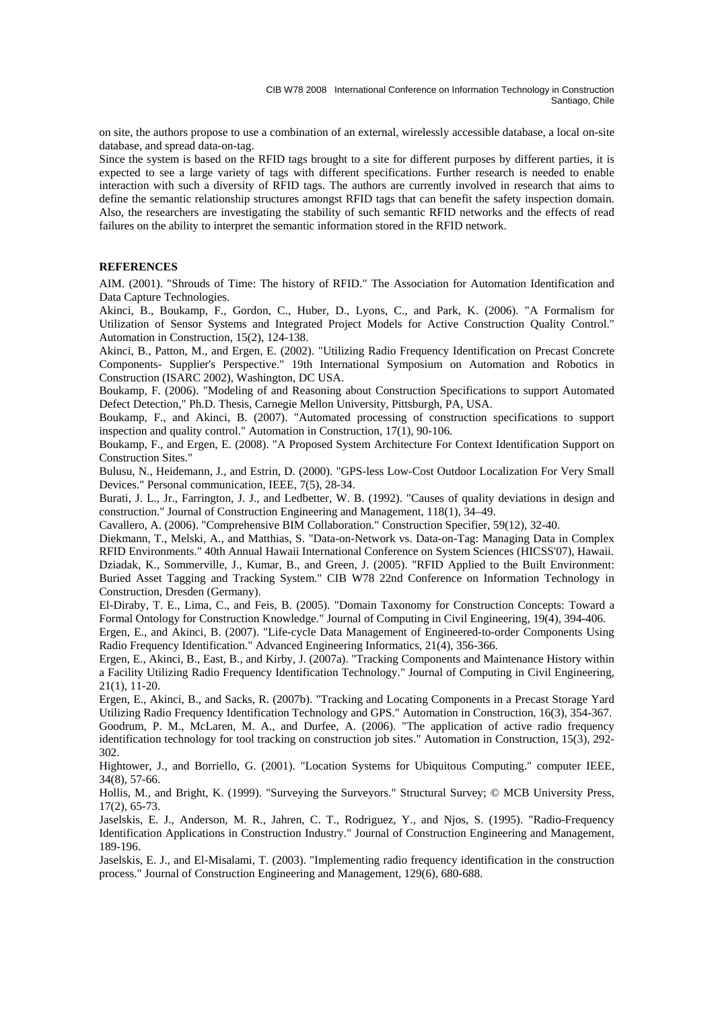on site, the authors propose to use a combination of an external, wirelessly accessible database, a local on-site database, and spread data-on-tag.

Since the system is based on the RFID tags brought to a site for different purposes by different parties, it is expected to see a large variety of tags with different specifications. Further research is needed to enable interaction with such a diversity of RFID tags. The authors are currently involved in research that aims to define the semantic relationship structures amongst RFID tags that can benefit the safety inspection domain. Also, the researchers are investigating the stability of such semantic RFID networks and the effects of read failures on the ability to interpret the semantic information stored in the RFID network.

#### **REFERENCES**

AIM. (2001). "Shrouds of Time: The history of RFID." The Association for Automation Identification and Data Capture Technologies.

Akinci, B., Boukamp, F., Gordon, C., Huber, D., Lyons, C., and Park, K. (2006). "A Formalism for Utilization of Sensor Systems and Integrated Project Models for Active Construction Quality Control." Automation in Construction, 15(2), 124-138.

Akinci, B., Patton, M., and Ergen, E. (2002). "Utilizing Radio Frequency Identification on Precast Concrete Components- Supplier's Perspective." 19th International Symposium on Automation and Robotics in Construction (ISARC 2002), Washington, DC USA.

Boukamp, F. (2006). "Modeling of and Reasoning about Construction Specifications to support Automated Defect Detection," Ph.D. Thesis, Carnegie Mellon University, Pittsburgh, PA, USA.

Boukamp, F., and Akinci, B. (2007). "Automated processing of construction specifications to support inspection and quality control." Automation in Construction, 17(1), 90-106.

Boukamp, F., and Ergen, E. (2008). "A Proposed System Architecture For Context Identification Support on Construction Sites."

Bulusu, N., Heidemann, J., and Estrin, D. (2000). "GPS-less Low-Cost Outdoor Localization For Very Small Devices." Personal communication, IEEE, 7(5), 28-34.

Burati, J. L., Jr., Farrington, J. J., and Ledbetter, W. B. (1992). "Causes of quality deviations in design and construction." Journal of Construction Engineering and Management, 118(1), 34–49.

Cavallero, A. (2006). "Comprehensive BIM Collaboration." Construction Specifier, 59(12), 32-40.

Diekmann, T., Melski, A., and Matthias, S. "Data-on-Network vs. Data-on-Tag: Managing Data in Complex RFID Environments." 40th Annual Hawaii International Conference on System Sciences (HICSS'07), Hawaii. Dziadak, K., Sommerville, J., Kumar, B., and Green, J. (2005). "RFID Applied to the Built Environment: Buried Asset Tagging and Tracking System." CIB W78 22nd Conference on Information Technology in Construction, Dresden (Germany).

El-Diraby, T. E., Lima, C., and Feis, B. (2005). "Domain Taxonomy for Construction Concepts: Toward a Formal Ontology for Construction Knowledge." Journal of Computing in Civil Engineering, 19(4), 394-406.

Ergen, E., and Akinci, B. (2007). "Life-cycle Data Management of Engineered-to-order Components Using Radio Frequency Identification." Advanced Engineering Informatics, 21(4), 356-366.

Ergen, E., Akinci, B., East, B., and Kirby, J. (2007a). "Tracking Components and Maintenance History within a Facility Utilizing Radio Frequency Identification Technology." Journal of Computing in Civil Engineering, 21(1), 11-20.

Ergen, E., Akinci, B., and Sacks, R. (2007b). "Tracking and Locating Components in a Precast Storage Yard Utilizing Radio Frequency Identification Technology and GPS." Automation in Construction, 16(3), 354-367. Goodrum, P. M., McLaren, M. A., and Durfee, A. (2006). "The application of active radio frequency identification technology for tool tracking on construction job sites." Automation in Construction, 15(3), 292- 302.

Hightower, J., and Borriello, G. (2001). "Location Systems for Ubiquitous Computing." computer IEEE, 34(8), 57-66.

Hollis, M., and Bright, K. (1999). "Surveying the Surveyors." Structural Survey; © MCB University Press, 17(2), 65-73.

Jaselskis, E. J., Anderson, M. R., Jahren, C. T., Rodriguez, Y., and Njos, S. (1995). "Radio-Frequency Identification Applications in Construction Industry." Journal of Construction Engineering and Management, 189-196.

Jaselskis, E. J., and El-Misalami, T. (2003). "Implementing radio frequency identification in the construction process." Journal of Construction Engineering and Management, 129(6), 680-688.